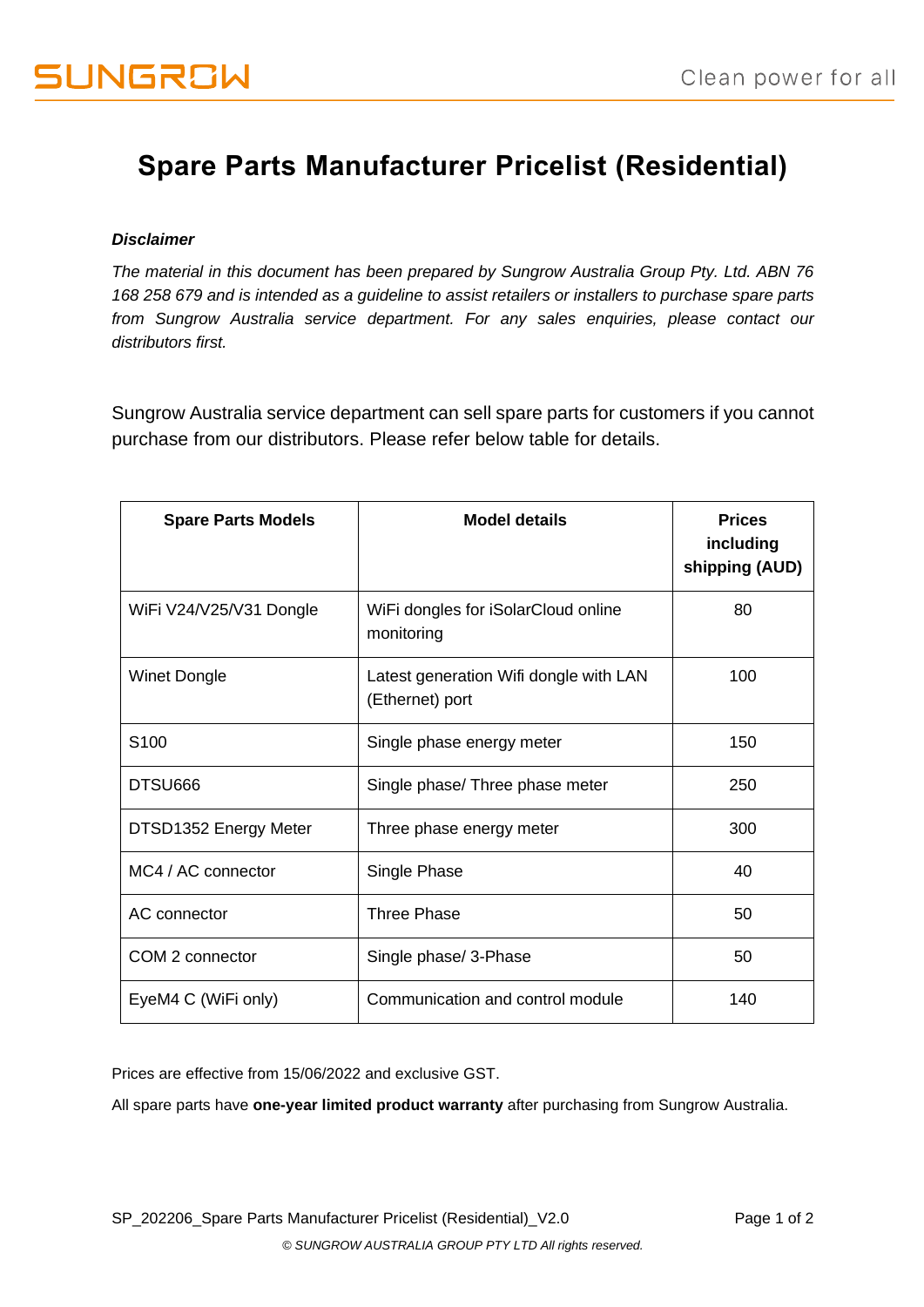## **Spare Parts Manufacturer Pricelist (Residential)**

## *Disclaimer*

*The material in this document has been prepared by Sungrow Australia Group Pty. Ltd. ABN 76 168 258 679 and is intended as a guideline to assist retailers or installers to purchase spare parts from Sungrow Australia service department. For any sales enquiries, please contact our distributors first.*

Sungrow Australia service department can sell spare parts for customers if you cannot purchase from our distributors. Please refer below table for details.

| <b>Spare Parts Models</b> | <b>Model details</b>                                      | <b>Prices</b><br>including<br>shipping (AUD) |
|---------------------------|-----------------------------------------------------------|----------------------------------------------|
| WiFi V24/V25/V31 Dongle   | WiFi dongles for iSolarCloud online<br>monitoring         | 80                                           |
| <b>Winet Dongle</b>       | Latest generation Wifi dongle with LAN<br>(Ethernet) port | 100                                          |
| S <sub>100</sub>          | Single phase energy meter                                 | 150                                          |
| DTSU666                   | Single phase/ Three phase meter                           | 250                                          |
| DTSD1352 Energy Meter     | Three phase energy meter                                  | 300                                          |
| MC4 / AC connector        | Single Phase                                              | 40                                           |
| AC connector              | Three Phase                                               | 50                                           |
| COM 2 connector           | Single phase/ 3-Phase                                     | 50                                           |
| EyeM4 C (WiFi only)       | Communication and control module                          | 140                                          |

Prices are effective from 15/06/2022 and exclusive GST.

All spare parts have **one-year limited product warranty** after purchasing from Sungrow Australia.